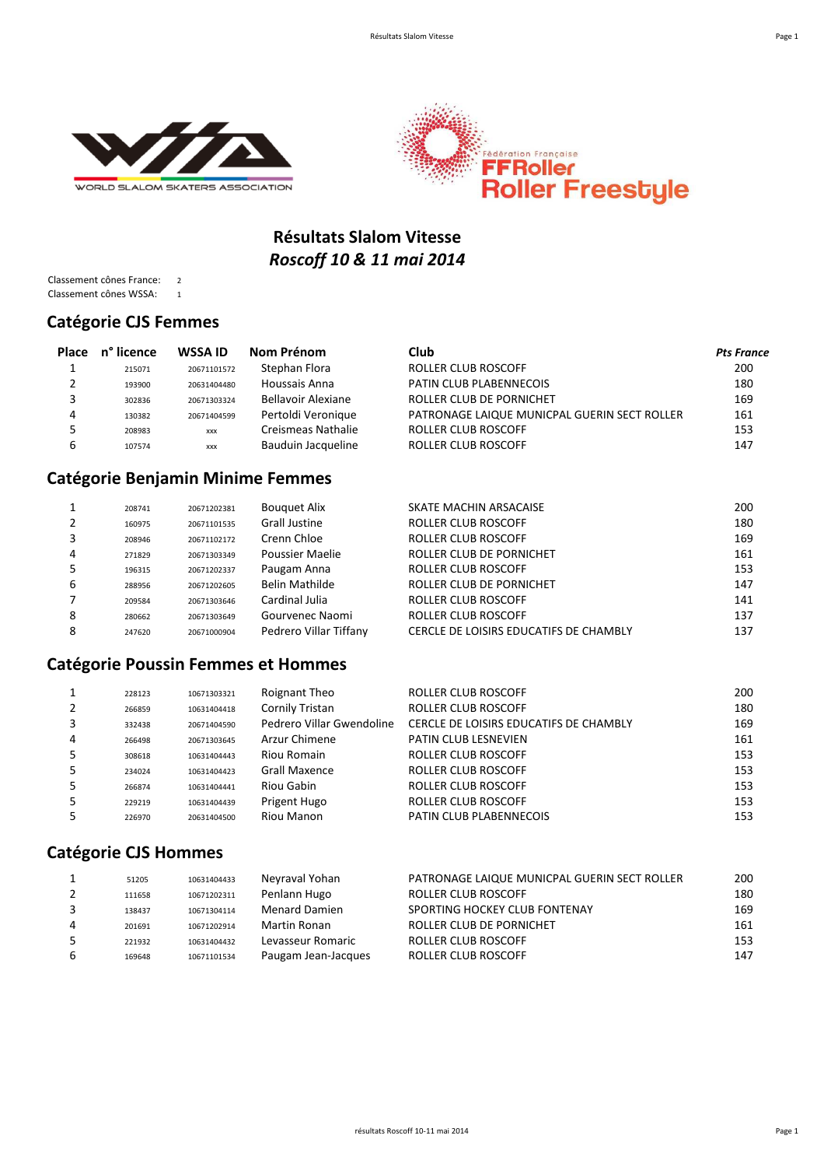



# **Résultats Slalom Vitesse** *Roscoff 10 & 11 mai 2014*

Classement cônes France: 2 Classement cônes WSSA: 1

#### **Catégorie CJS Femmes**

| Place | n° licence | WSSA ID     | Nom Prénom         | Club                                         | <b>Pts France</b> |
|-------|------------|-------------|--------------------|----------------------------------------------|-------------------|
|       | 215071     | 20671101572 | Stephan Flora      | ROLLER CLUB ROSCOFF                          | 200               |
|       | 193900     | 20631404480 | Houssais Anna      | PATIN CLUB PLABENNECOIS                      | 180               |
|       | 302836     | 20671303324 | Bellavoir Alexiane | ROLLER CLUB DE PORNICHET                     | 169               |
| 4     | 130382     | 20671404599 | Pertoldi Veronique | PATRONAGE LAIQUE MUNICPAL GUERIN SECT ROLLER | 161               |
|       | 208983     | <b>XXX</b>  | Creismeas Nathalie | ROLLER CLUB ROSCOFF                          | 153               |
|       | 107574     | <b>XXX</b>  | Bauduin Jacqueline | <b>ROLLER CLUB ROSCOFF</b>                   | 147               |

### **Catégorie Benjamin Minime Femmes**

|   | 208741 | 20671202381 | <b>Bouguet Alix</b>    | SKATE MACHIN ARSACAISE                 | 200 |
|---|--------|-------------|------------------------|----------------------------------------|-----|
|   | 160975 | 20671101535 | Grall Justine          | ROLLER CLUB ROSCOFF                    | 180 |
|   | 208946 | 20671102172 | Crenn Chloe            | ROLLER CLUB ROSCOFF                    | 169 |
| 4 | 271829 | 20671303349 | Poussier Maelie        | ROLLER CLUB DE PORNICHET               | 161 |
|   | 196315 | 20671202337 | Paugam Anna            | ROLLER CLUB ROSCOFF                    | 153 |
| 6 | 288956 | 20671202605 | Belin Mathilde         | ROLLER CLUB DE PORNICHET               | 147 |
|   | 209584 | 20671303646 | Cardinal Julia         | ROLLER CLUB ROSCOFF                    | 141 |
| 8 | 280662 | 20671303649 | Gourvenec Naomi        | <b>ROLLER CLUB ROSCOFF</b>             | 137 |
| 8 | 247620 | 20671000904 | Pedrero Villar Tiffany | CERCLE DE LOISIRS EDUCATIFS DE CHAMBLY | 137 |

### **Catégorie Poussin Femmes et Hommes**

|   | 228123 | 10671303321 | Roignant Theo             | ROLLER CLUB ROSCOFF                    | 200 |
|---|--------|-------------|---------------------------|----------------------------------------|-----|
|   | 266859 | 10631404418 | Cornily Tristan           | <b>ROLLER CLUB ROSCOFF</b>             | 180 |
|   | 332438 | 20671404590 | Pedrero Villar Gwendoline | CERCLE DE LOISIRS EDUCATIFS DE CHAMBLY | 169 |
| 4 | 266498 | 20671303645 | Arzur Chimene             | PATIN CLUB LESNEVIEN                   | 161 |
|   | 308618 | 10631404443 | Riou Romain               | <b>ROLLER CLUB ROSCOFF</b>             | 153 |
|   | 234024 | 10631404423 | Grall Maxence             | ROLLER CLUB ROSCOFF                    | 153 |
|   | 266874 | 10631404441 | Riou Gabin                | <b>ROLLER CLUB ROSCOFF</b>             | 153 |
| 5 | 229219 | 10631404439 | Prigent Hugo              | ROLLER CLUB ROSCOFF                    | 153 |
|   | 226970 | 20631404500 | Riou Manon                | PATIN CLUB PLABENNECOIS                | 153 |
|   |        |             |                           |                                        |     |

### **Catégorie CJS Hommes**

|   | 51205  | 10631404433 | Neyraval Yohan       | PATRONAGE LAIQUE MUNICPAL GUERIN SECT ROLLER | 200 |
|---|--------|-------------|----------------------|----------------------------------------------|-----|
|   | 111658 | 10671202311 | Penlann Hugo         | ROLLER CLUB ROSCOFF                          | 180 |
|   | 138437 | 10671304114 | <b>Menard Damien</b> | SPORTING HOCKEY CLUB FONTENAY                | 169 |
| 4 | 201691 | 10671202914 | Martin Ronan         | ROLLER CLUB DE PORNICHET                     | 161 |
|   | 221932 | 10631404432 | Levasseur Romaric    | ROLLER CLUB ROSCOFF                          | 153 |
| 6 | 169648 | 10671101534 | Paugam Jean-Jacques  | ROLLER CLUB ROSCOFF                          | 147 |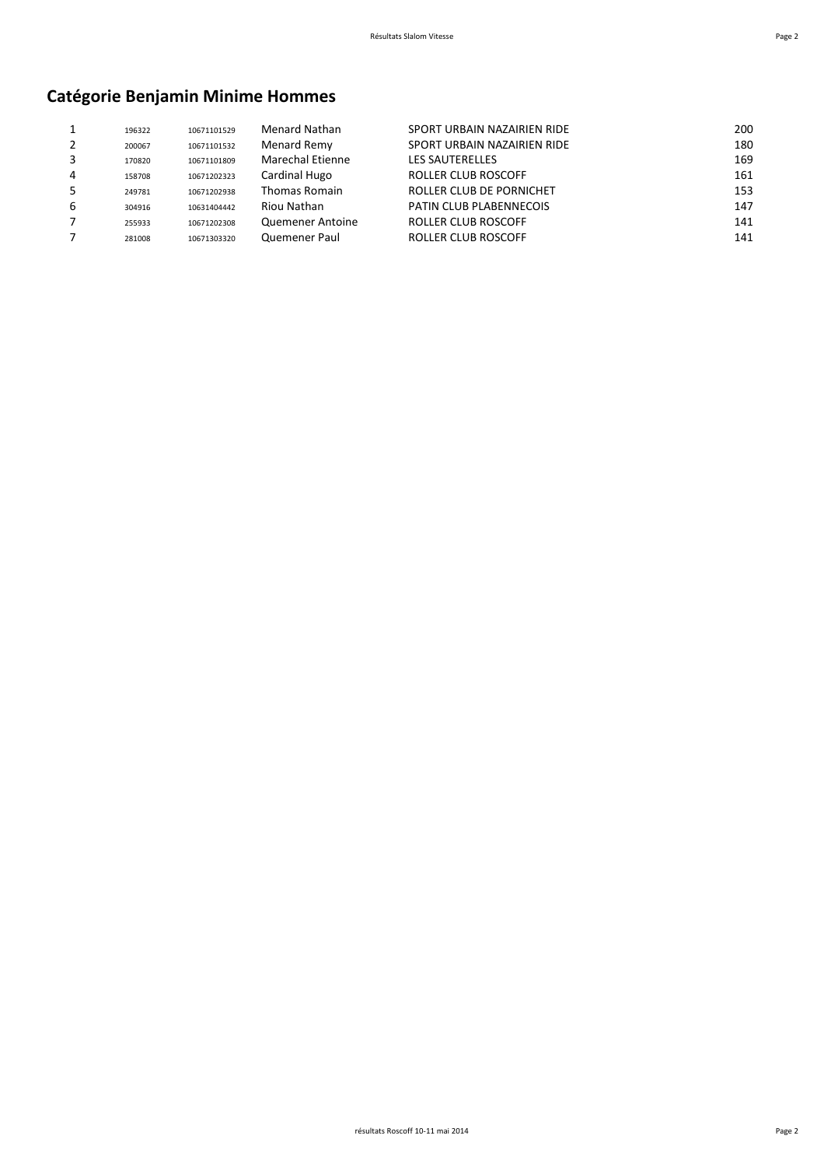# **Catégorie Benjamin Minime Hommes**

|   | 196322 | 10671101529 | <b>Menard Nathan</b> | SPORT URBAIN NAZAIRIEN RIDE | 200 |
|---|--------|-------------|----------------------|-----------------------------|-----|
|   | 200067 | 10671101532 | Menard Remy          | SPORT URBAIN NAZAIRIEN RIDE | 180 |
|   | 170820 | 10671101809 | Marechal Etienne     | <b>LES SAUTERELLES</b>      | 169 |
| 4 | 158708 | 10671202323 | Cardinal Hugo        | ROLLER CLUB ROSCOFF         | 161 |
|   | 249781 | 10671202938 | <b>Thomas Romain</b> | ROLLER CLUB DE PORNICHET    | 153 |
| 6 | 304916 | 10631404442 | Riou Nathan          | PATIN CLUB PLABENNECOIS     | 147 |
|   | 255933 | 10671202308 | Quemener Antoine     | ROLLER CLUB ROSCOFF         | 141 |
|   | 281008 | 10671303320 | Quemener Paul        | <b>ROLLER CLUB ROSCOFF</b>  | 141 |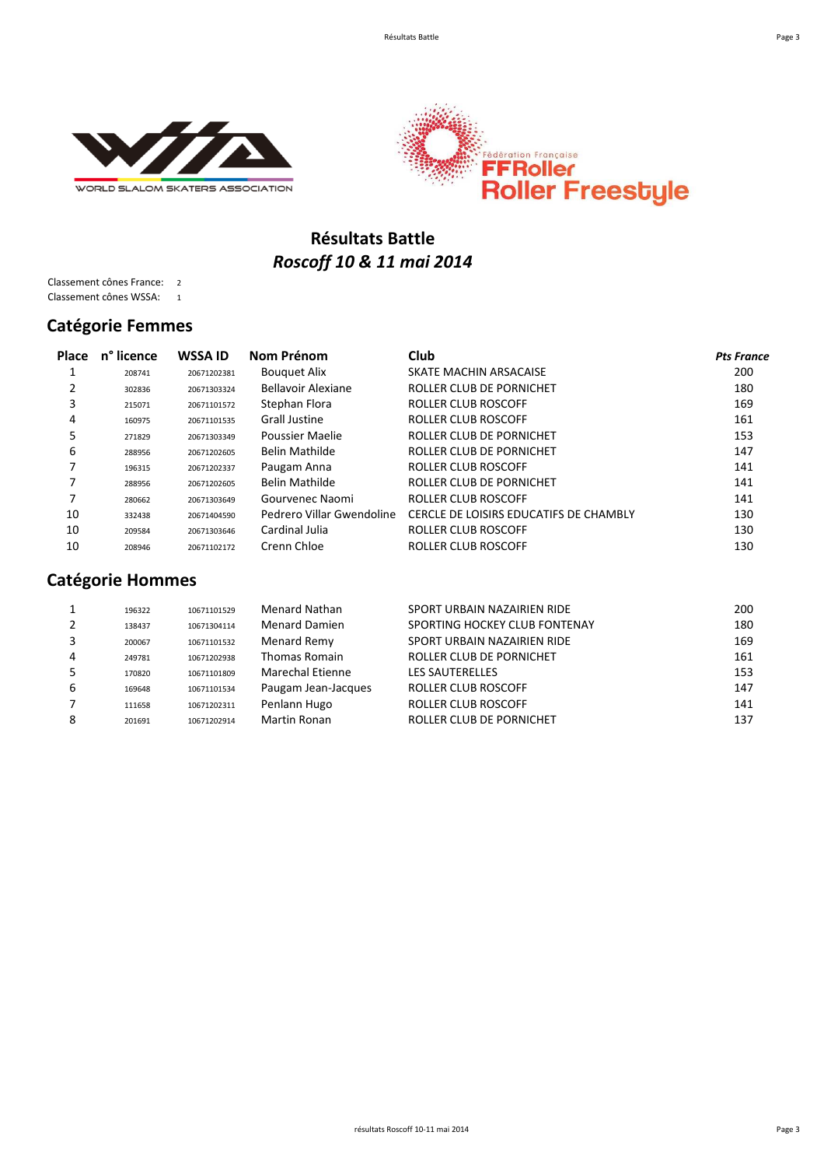



## **Résultats Battle** *Roscoff 10 & 11 mai 2014*

Classement cônes France: 2 Classement cônes WSSA: 1

#### **Catégorie Femmes**

| <b>Place</b> | n° licence | <b>WSSA ID</b> | Nom Prénom                | Club                                   | <b>Pts France</b> |
|--------------|------------|----------------|---------------------------|----------------------------------------|-------------------|
|              | 208741     | 20671202381    | <b>Bouguet Alix</b>       | SKATE MACHIN ARSACAISE                 | 200               |
| 2            | 302836     | 20671303324    | Bellavoir Alexiane        | ROLLER CLUB DE PORNICHET               | 180               |
| 3            | 215071     | 20671101572    | Stephan Flora             | ROLLER CLUB ROSCOFF                    | 169               |
| 4            | 160975     | 20671101535    | <b>Grall Justine</b>      | ROLLER CLUB ROSCOFF                    | 161               |
| 5            | 271829     | 20671303349    | Poussier Maelie           | ROLLER CLUB DE PORNICHET               | 153               |
| 6            | 288956     | 20671202605    | Belin Mathilde            | ROLLER CLUB DE PORNICHET               | 147               |
| 7            | 196315     | 20671202337    | Paugam Anna               | ROLLER CLUB ROSCOFF                    | 141               |
|              | 288956     | 20671202605    | Belin Mathilde            | ROLLER CLUB DE PORNICHET               | 141               |
| 7            | 280662     | 20671303649    | Gourvenec Naomi           | ROLLER CLUB ROSCOFF                    | 141               |
| 10           | 332438     | 20671404590    | Pedrero Villar Gwendoline | CERCLE DE LOISIRS EDUCATIFS DE CHAMBLY | 130               |
| 10           | 209584     | 20671303646    | Cardinal Julia            | ROLLER CLUB ROSCOFF                    | 130               |
| 10           | 208946     | 20671102172    | Crenn Chloe               | ROLLER CLUB ROSCOFF                    | 130               |

# **Catégorie Hommes**

|   | 196322 | 10671101529 | Menard Nathan        | SPORT URBAIN NAZAIRIEN RIDE   | 200 |
|---|--------|-------------|----------------------|-------------------------------|-----|
|   | 138437 | 10671304114 | <b>Menard Damien</b> | SPORTING HOCKEY CLUB FONTENAY | 180 |
|   | 200067 | 10671101532 | Menard Remy          | SPORT URBAIN NAZAIRIEN RIDE   | 169 |
| 4 | 249781 | 10671202938 | <b>Thomas Romain</b> | ROLLER CLUB DE PORNICHET      | 161 |
|   | 170820 | 10671101809 | Marechal Etienne     | <b>LES SAUTERELLES</b>        | 153 |
| 6 | 169648 | 10671101534 | Paugam Jean-Jacques  | <b>ROLLER CLUB ROSCOFF</b>    | 147 |
|   | 111658 | 10671202311 | Penlann Hugo         | <b>ROLLER CLUB ROSCOFF</b>    | 141 |
| 8 | 201691 | 10671202914 | Martin Ronan         | ROLLER CLUB DE PORNICHET      | 137 |